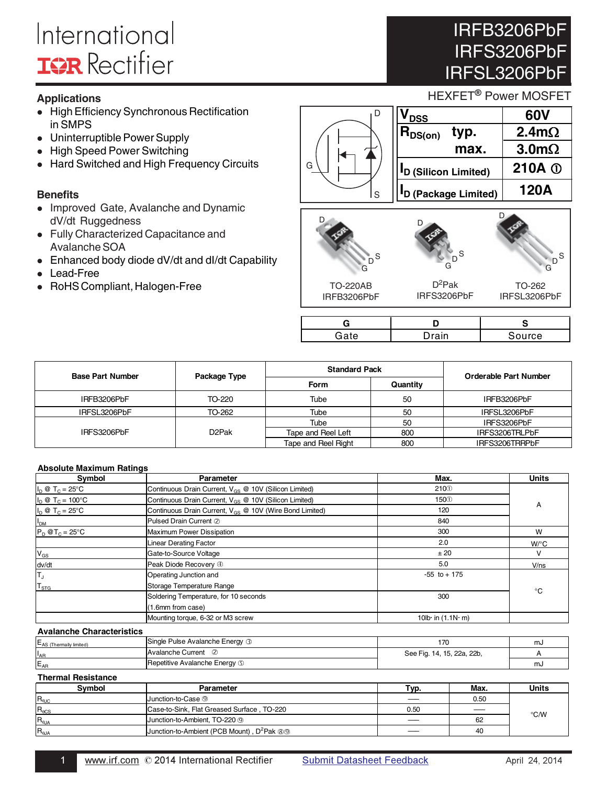# International **IGR** Rectifier

### **Applications**

- High Efficiency Synchronous Rectification in SMPS
- Uninterruptible Power Supply
- $\bullet$ High Speed Power Switching
- $\bullet$ Hard Switched and High Frequency Circuits

### **Benefits**

- Improved Gate, Avalanche and Dynamic dV/dt Ruggedness
- Fully Characterized Capacitance and Avalanche SOA
- Enhanced body diode dV/dt and dI/dt Capability
- $\bullet$ Lead-Free
- RoHS Compliant, Halogen-Free

### HEXFET<sup>®</sup> Power MOSFET S D  $V_{\text{DSS}}$  60V  $\overline{\mathsf{R}_{\mathsf{DS}(on)}}$  typ. 2.4m $\Omega$ **max.**  $| 3.0 \text{m}\Omega$ **ID (Silicon Limited) 210A ID (Package Limited) 120A**

# D D D







D

IRFB3206PbF

IRFS3206PbF

IRFSL3206PbF

IRFB3206PbF

 $D^2$ Pak IRFS3206PbF

| TU-202       |
|--------------|
| IRFSL3206PbF |
|              |

| <b>Suming</b> | rrC |
|---------------|-----|

-

| <b>Base Part Number</b> | Package Type | <b>Standard Pack</b> |          | Orderable Part Number |
|-------------------------|--------------|----------------------|----------|-----------------------|
|                         |              | <b>Form</b>          | Quantity |                       |
| IRFB3206PbF             | TO-220       | Tube                 | 50       | IRFB3206PbF           |
| IRFSL3206PbF            | TO-262       | Tube                 | 50       | IRFSL3206PbF          |
|                         |              | Tube                 | 50       | IRFS3206PbF           |
| IRFS3206PbF             | D2Pak        | Tape and Reel Left   | 800      | IRFS3206TRLPbF        |
|                         |              | Tape and Reel Right  | 800      | IRFS3206TRRPbF        |

G

#### **Absolute Maximum Ratings**

| Symbol                           | Parameter                                                           | Max.                        | <b>Units</b>       |
|----------------------------------|---------------------------------------------------------------------|-----------------------------|--------------------|
| $I_D \otimes T_C = 25^{\circ}C$  | Continuous Drain Current, V <sub>GS</sub> @ 10V (Silicon Limited)   | 210 <sup>0</sup>            |                    |
| $I_D \otimes T_C = 100^{\circ}C$ | Continuous Drain Current, V <sub>GS</sub> @ 10V (Silicon Limited)   | 150 <sub>①</sub>            |                    |
| $I_D \otimes T_C = 25^{\circ}C$  | Continuous Drain Current, V <sub>GS</sub> @ 10V (Wire Bond Limited) | 120                         | A                  |
| I <sub>DM</sub>                  | Pulsed Drain Current 2                                              | 840                         |                    |
| $P_D$ @T <sub>C</sub> = 25°C     | Maximum Power Dissipation                                           | 300                         | W                  |
|                                  | <b>Linear Derating Factor</b>                                       | 2.0                         | $W$ <sup>o</sup> C |
| $V_{GS}$                         | Gate-to-Source Voltage                                              | ± 20                        | v                  |
| dv/dt                            | Peak Diode Recovery 4                                               | 5.0                         | V/ns               |
| T,                               | Operating Junction and                                              | $-55$ to $+175$             |                    |
| $T_{STG}$                        | Storage Temperature Range                                           |                             | $^{\circ}C$        |
|                                  | Soldering Temperature, for 10 seconds                               | 300                         |                    |
|                                  | (1.6mm from case)                                                   |                             |                    |
|                                  | Mounting torque, 6-32 or M3 screw                                   | 10 $lb$ in $(1.1N \cdot m)$ |                    |

#### **Avalanche Characteristics**

| EAS (Thermally limited) | Single Pulse Avalanche Energy 3       |                            | m  |
|-------------------------|---------------------------------------|----------------------------|----|
| l'AR                    | IAvalanche Current                    | See Fig. 14, 15, 22a, 22b, |    |
| $E_{AP}$                | <b>IRepetitive Avalanche Energy 5</b> |                            | m. |
|                         |                                       |                            |    |

#### **Thermal Resistance**

| <b>Symbol</b>    | Parameter                                                        | Typ. | Max. | <b>Units</b>  |
|------------------|------------------------------------------------------------------|------|------|---------------|
| $R_{\text{euc}}$ | Junction-to-Case <sup>⑨</sup>                                    |      | 0.50 |               |
| $R_{\theta CS}$  | Case-to-Sink, Flat Greased Surface, TO-220                       | 0.50 |      | $\degree$ C/W |
| $R_{\theta JA}$  | Junction-to-Ambient, TO-220 <sup>(0)</sup>                       |      | 62   |               |
| $R_{0JA}$        | Junction-to-Ambient (PCB Mount), D <sup>2</sup> Pak <sup>®</sup> |      | 40   |               |

### $\overline{1}$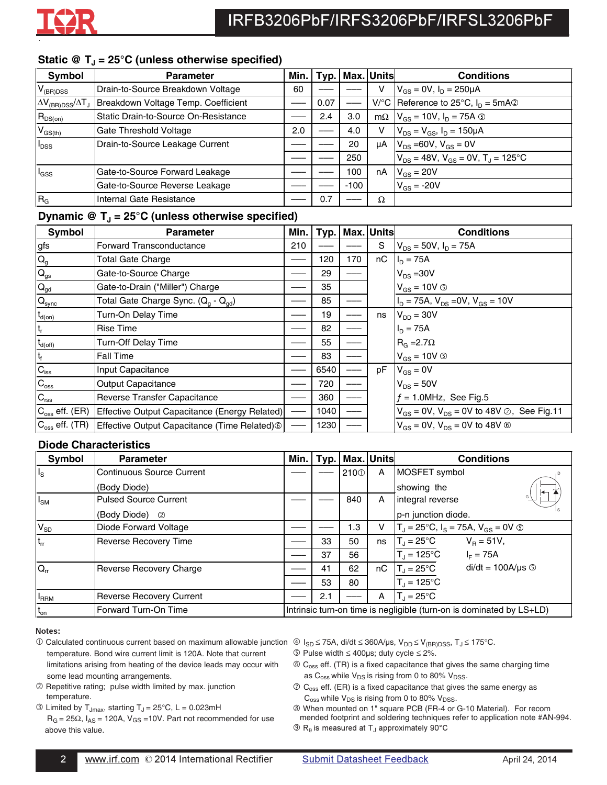### Static @ T<sub>J</sub> = 25°C (unless otherwise specified)

| Symbol                                    | <b>Parameter</b>                     | Min. | Tvp. |        | Max. Units | <b>Conditions</b>                                      |
|-------------------------------------------|--------------------------------------|------|------|--------|------------|--------------------------------------------------------|
| $V_{(BR)DSS}$                             | Drain-to-Source Breakdown Voltage    | 60   |      |        | ٧          | $V_{GS} = 0V$ , $I_D = 250 \mu A$                      |
| $\Delta V_{\rm (BR)DSS}/\Delta T_{\rm J}$ | Breakdown Voltage Temp. Coefficient  |      | 0.07 |        |            | V/°C Reference to 25°C, $I_D = 5mA$                    |
| $R_{DS(on)}$                              | Static Drain-to-Source On-Resistance |      | 2.4  | 3.0    | $m\Omega$  | $V_{GS}$ = 10V, $I_D$ = 75A $\circledcirc$             |
| $V_{GS(th)}$                              | Gate Threshold Voltage               | 2.0  |      | 4.0    | v          | $V_{DS} = V_{GS}$ , $I_D = 150 \mu A$                  |
| <b>I</b> <sub>DSS</sub>                   | Drain-to-Source Leakage Current      |      |      | 20     | μA         | $V_{DS} = 60V, V_{GS} = 0V$                            |
|                                           |                                      |      |      | 250    |            | $V_{DS}$ = 48V, $V_{GS}$ = 0V, T <sub>J</sub> = 125 °C |
| <sup>I</sup> GSS                          | Gate-to-Source Forward Leakage       |      |      | 100    | nA         | $V_{GS}$ = 20V                                         |
|                                           | Gate-to-Source Reverse Leakage       |      |      | $-100$ |            | $V_{GS} = -20V$                                        |
| R <sub>G</sub>                            | Internal Gate Resistance             |      | 0.7  |        | Ω          |                                                        |

### Dynamic  $\mathcal{Q}$  T<sub>J</sub> = 25°C (unless otherwise specified)

| Symbol                    | <b>Parameter</b>                                            | Min. | Typ. | Max. | <b>Units</b> | <b>Conditions</b>                                                 |
|---------------------------|-------------------------------------------------------------|------|------|------|--------------|-------------------------------------------------------------------|
| gfs                       | <b>Forward Transconductance</b>                             | 210  |      |      | S            | $V_{DS}$ = 50V, $I_D$ = 75A                                       |
| $\mathsf{Q}_{\mathsf{g}}$ | Total Gate Charge                                           |      | 120  | 170  | nC           | $I_D = 75A$                                                       |
| $\mathsf{Q}_{\text{gs}}$  | Gate-to-Source Charge                                       |      | 29   |      |              | $V_{DS} = 30V$                                                    |
| $\mathbf{Q}_{\text{gd}}$  | Gate-to-Drain ("Miller") Charge                             |      | 35   |      |              | $V_{GS}$ = 10V $\circledcirc$                                     |
| $Q_{sync}$                | Total Gate Charge Sync. (Q <sub>a</sub> - Q <sub>ad</sub> ) |      | 85   |      |              | $I_D$ = 75A, $V_{DS}$ = 0V, $V_{GS}$ = 10V                        |
| $t_{d(on)}$               | Turn-On Delay Time                                          |      | 19   |      | ns           | $V_{DD} = 30V$                                                    |
| $t_{r}$                   | Rise Time                                                   |      | 82   |      |              | $I_D = 75A$                                                       |
| $t_{d(\text{off})}$       | Turn-Off Delay Time                                         |      | 55   |      |              | $R_G = 2.7\Omega$                                                 |
| $\mathsf{t}_{\mathsf{f}}$ | Fall Time                                                   |      | 83   |      |              | $V_{GS}$ = 10V $\circledcirc$                                     |
| $C_{\text{iss}}$          | Input Capacitance                                           |      | 6540 |      | рF           | $V_{GS} = 0V$                                                     |
| $C_{\rm oss}$             | <b>Output Capacitance</b>                                   |      | 720  |      |              | $V_{DS} = 50V$                                                    |
| $C_{\text{rss}}$          | Reverse Transfer Capacitance                                |      | 360  |      |              | $f = 1.0$ MHz, See Fig.5                                          |
| $C_{\rm oss}$ eff. (ER)   | Effective Output Capacitance (Energy Related)               |      | 1040 |      |              | $V_{GS}$ = 0V, $V_{DS}$ = 0V to 48V $\oslash$ , See Fig.11        |
| $C_{\rm oss}$ eff. (TR)   | Effective Output Capacitance (Time Related) 6               |      | 1230 |      |              | $V_{\text{GS}} = 0V$ , $V_{\text{DS}} = 0V$ to 48V $\circledcirc$ |

### **Diode Characteristics**

| Symbol          | <b>Parameter</b>                | Min. | Typ. |                  | Max. Units | <b>Conditions</b>                                                    |
|-----------------|---------------------------------|------|------|------------------|------------|----------------------------------------------------------------------|
| $I_{\rm S}$     | Continuous Source Current       |      |      | 210 <sup>0</sup> | A          | MOSFET symbol                                                        |
|                 | (Body Diode)                    |      |      |                  |            | showing the                                                          |
| $I_{\text{SM}}$ | Pulsed Source Current           |      |      | 840              | A          | G<br>integral reverse                                                |
|                 | (Body Diode)<br>$\circled{2}$   |      |      |                  |            | p-n junction diode.                                                  |
| $V_{SD}$        | Diode Forward Voltage           |      |      | 1.3              | v          | $T_J = 25^{\circ}C$ , $I_S = 75A$ , $V_{GS} = 0V$ (5)                |
| $t_{rr}$        | <b>Reverse Recovery Time</b>    |      | 33   | 50               | ns         | $T_J = 25^{\circ}C$<br>$V_B = 51V,$                                  |
|                 |                                 |      | 37   | 56               |            | $T_{\text{J}}$ = 125°C<br>$I_F = 75A$                                |
| $Q_{rr}$        | <b>Reverse Recovery Charge</b>  |      | 41   | 62               | nC         | $di/dt = 100A/\mu s$<br>$T_{\rm J}$ = 25°C                           |
|                 |                                 |      | 53   | 80               |            | $T_J = 125^{\circ}C$                                                 |
| <b>I</b> RRM    | <b>Reverse Recovery Current</b> |      | 2.1  |                  | A          | $T_{\rm d}$ = 25°C                                                   |
| $t_{on}$        | Forward Turn-On Time            |      |      |                  |            | Intrinsic turn-on time is negligible (turn-on is dominated by LS+LD) |

#### Notes:

- ① Calculated continuous current based on maximum allowable junction ① I<sub>SD</sub> ≤ 75A, di/dt ≤ 360A/μs, V<sub>DD</sub> ≤ V<sub>(BR)DSS</sub>, T<sub>J</sub> ≤ 175°C. temperature. Bond wire current limit is 120A. Note that current limitations arising from heating of the device leads may occur with some lead mounting arrangements.
- Repetitive rating; pulse width limited by max. junction temperature.
- $\circled{1}$  Limited by T<sub>Jmax</sub>, starting T<sub>J</sub> = 25 $\circ$ C, L = 0.023mH
	- $R_G = 25\Omega$ ,  $I_{AS} = 120A$ ,  $V_{GS} = 10V$ . Part not recommended for use above this value.
- 
- $\circled{S}$  Pulse width  $\leq 400$ µs; duty cycle  $\leq 2\%$ .
- $\circledR$  C<sub>oss</sub> eff. (TR) is a fixed capacitance that gives the same charging time as  $C_{\text{oss}}$  while  $V_{DS}$  is rising from 0 to 80%  $V_{DSS}$ .
- $\circledcirc$  C<sub>oss</sub> eff. (ER) is a fixed capacitance that gives the same energy as  $C_{\text{oss}}$  while  $V_{DS}$  is rising from 0 to 80%  $V_{DSS}$ .
- When mounted on 1" square PCB (FR-4 or G-10 Material). For recom mended footprint and soldering techniques refer to application note #AN-994.
- $\textcircled{R}_\theta$  is measured at T<sub>J</sub> approximately 90°C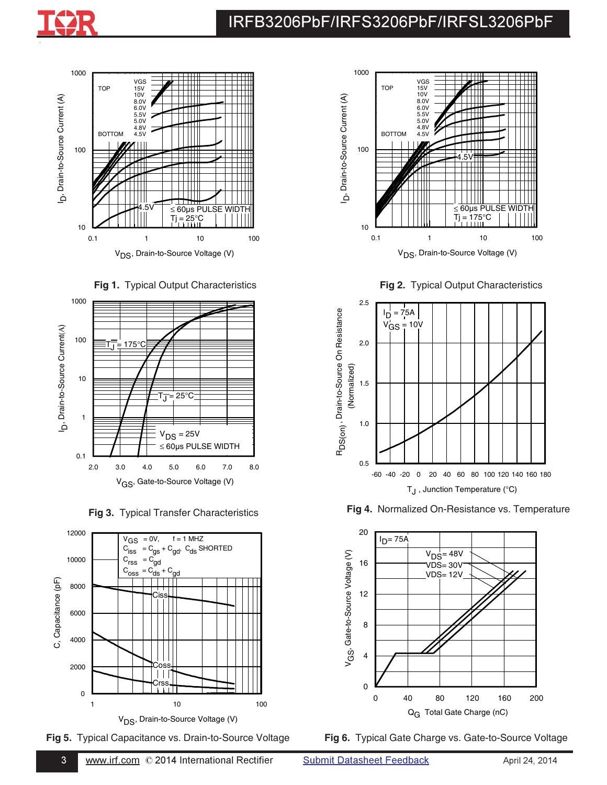











**Fig 2.** Typical Output Characteristics



**Fig 3.** Typical Transfer Characteristics **Fig 4.** Normalized On-Resistance vs. Temperature



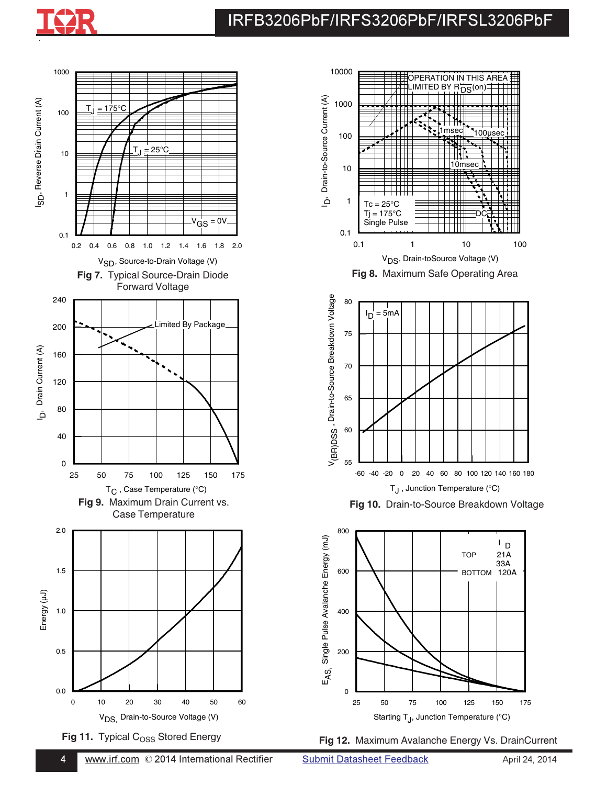







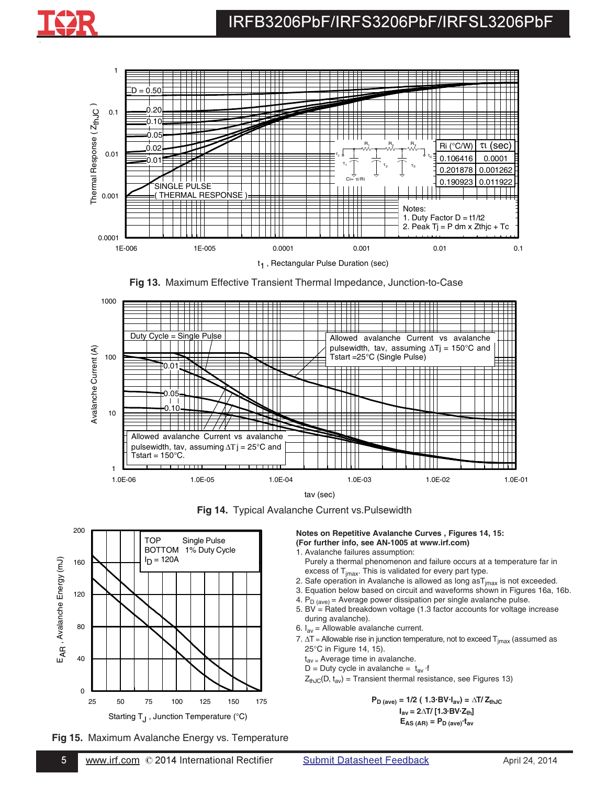

**Fig 13.** Maximum Effective Transient Thermal Impedance, Junction-to-Case



**Fig 14.** Typical Avalanche Current vs.Pulsewidth



**Fig 15.** Maximum Avalanche Energy vs. Temperature

 $\overline{5}$ 

**Notes on Repetitive Avalanche Curves , Figures 14, 15: (For further info, see AN-1005 at www.irf.com)**

- 1. Avalanche failures assumption: Purely a thermal phenomenon and failure occurs at a temperature far in excess of  $T<sub>imax</sub>$ . This is validated for every part type.
- 2. Safe operation in Avalanche is allowed as long  $\text{as} T_{jmax}$  is not exceeded.
- 3. Equation below based on circuit and waveforms shown in Figures 16a, 16b.
- 4.  $P_D_{(ave)} =$  Average power dissipation per single avalanche pulse.
- 5. BV =  $Rated$  breakdown voltage (1.3 factor accounts for voltage increase during avalanche).
- 6.  $I_{av}$  = Allowable avalanche current.
- 7.  $\Delta T$  = Allowable rise in junction temperature, not to exceed  $T_{jmax}$  (assumed as 25°C in Figure 14, 15).
	- $t_{\text{av}}$  = Average time in avalanche.
	- D = Duty cycle in avalanche =  $t_{av}$  ·f
	- $Z_{thJC}(D, t_{av})$  = Transient thermal resistance, see Figures 13)

 $P_{D \text{ (ave)}} = 1/2 (1.3 \text{ BV} \cdot I_{av}) = \Delta T / Z_{thJC}$  $I_{av}$  = 2 $\triangle$ T/ [1.3·BV·Z<sub>th</sub>]  $E_{AS (AR)} = P_{D (ave)} \cdot t_{av}$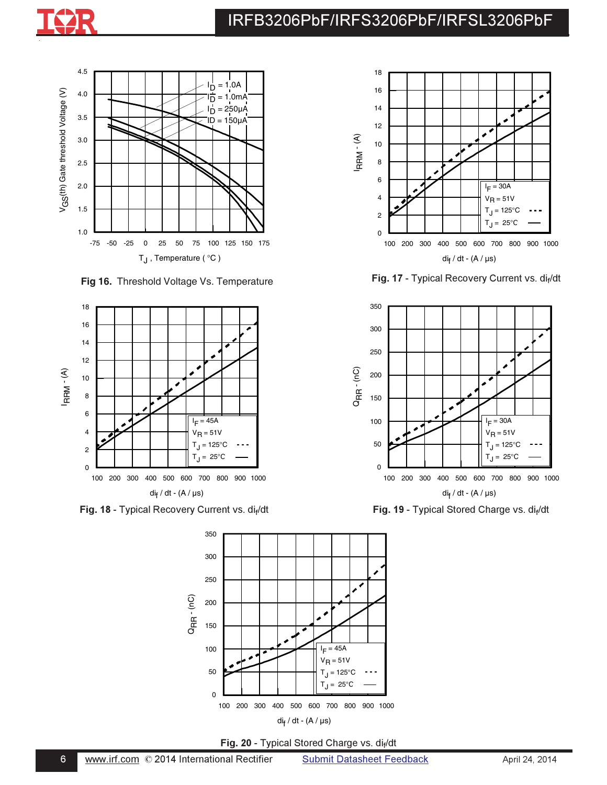



( **Fig 16.** Threshold Voltage Vs. Temperature



**Fig. 19 - Typical Stored Charge vs. di** exercise the state of the state of the state of the state of the state of the state of the state of the state of the state of the state of the state of the state of the state of the



**Fig. 20 - Typical Stored Charge vs. dif/dt** 



Fig. 17 - Typical Recovery Current vs. dif



di<sub>f</sub>/dt **Fig. 19** - Typical Stored Charge vs. di<sub>f</sub>/dt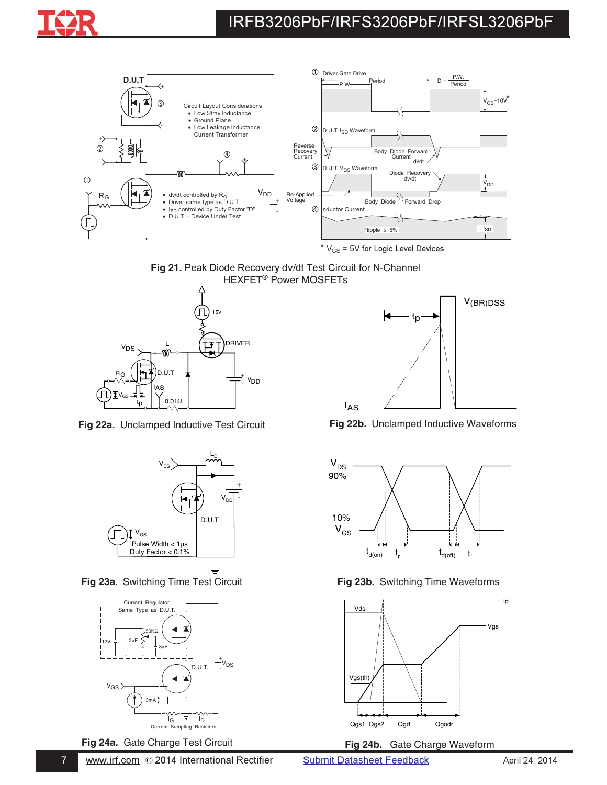



 $*$  V<sub>GS</sub> = 5V for Logic Level Devices





**Fig 22a.** Unclamped Inductive Test Circuit **Fig 22b.** Unclamped Inductive Waveforms



**Fig 23a.** Switching Time Test Circuit **Fig 23b.** Switching Time Waveforms



\*-







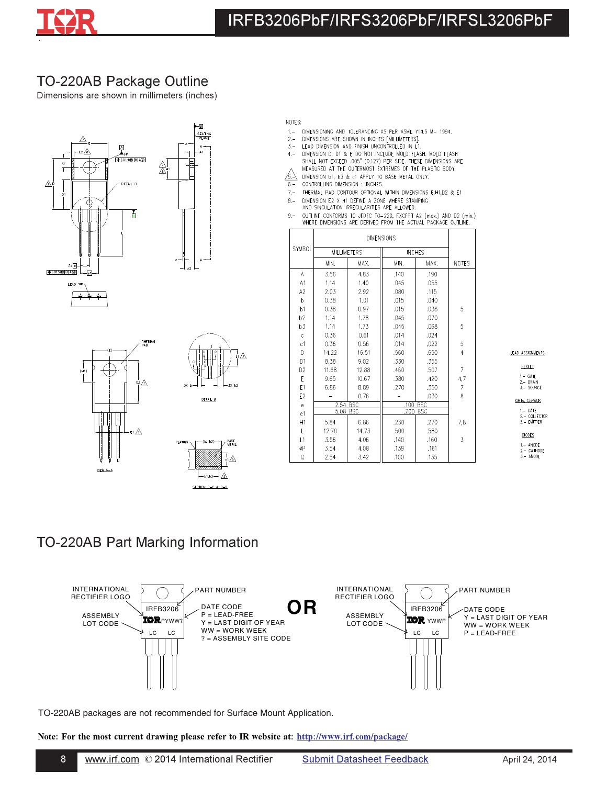

## TO-220AB Package Outline

Dimensions are shown in millimeters (inches)





- NOTES:
- DIMENSIONING AND TOLERANCING AS PER ASME Y14.5 M- 1994.  $1, -$
- DIMENSIONS ARE SHOWN IN INCHES [MILLIMETERS].  $2 -$
- $3 -$ LEAD DIMENSION AND FINISH UNCONTROLLED IN L1.
- DIMENSION D, D1 & E DO NOT INCLUDE MOLD FLASH. MOLD FLASH<br>SHALL NOT EXCEED .005" (0.127) PER SIDE. THESE DIMENSIONS ARE<br>MEASURED AT THE OUTERMOST EXTREMES OF THE PLASTIC BODY.  $4, -$
- $\sqrt{5}$ DIMENSION b1, b3 & c1 APPLY TO BASE METAL ONLY.
- CONTROLLING DIMENSION : INCHES,  $6 -$
- THERMAL PAD CONTOUR OPTIONAL WITHIN DIMENSIONS E, H1, D2 & E1  $7 -$
- DIMENSION E2 X H1 DEFINE A ZONE WHERE STAMPING<br>AND SINGULATION IRREGULARITIES ARE ALLOWED.  $8, -$
- OUTLINE CONFORMS TO JEDEC TO-220, EXCEPT A2 (max.) AND D2 (min.)<br>WHERE DIMENSIONS ARE DERIVED FROM THE ACTUAL PACKAGE OUTLINE.  $9 -$

|                 |                    |            | <b>DIMENSIONS</b> |               |                |
|-----------------|--------------------|------------|-------------------|---------------|----------------|
| SYMBOL          | <b>MILLIMETERS</b> |            |                   | <b>INCHES</b> |                |
|                 | MIN.               | MAX.       | MIN.              | MAX.          | <b>NOTES</b>   |
| A               | 3.56               | 4.83       | .140              | .190          |                |
| A1              | 1.14               | 1.40       | .045              | .055          |                |
| A2              | 2.03               | 2.92       | .080              | .115          |                |
| b               | 0.38               | 1.01       | .015              | .040          |                |
| b1              | 0.38               | 0.97       | .015              | .038          | 5              |
| b2              | 1,14               | 1.78       | .045              | .070          |                |
| b <sub>3</sub>  | 1.14               | 1.73       | .045              | .068          | 5              |
| Ċ.              | 0.36               | 0.61       | .014              | .024          |                |
| c1              | 0.36               | 0.56       | .014              | .022          | 5              |
| D               | 14.22              | 16.51      | .560              | .650          | 4              |
| D <sub>1</sub>  | 8.38               | 9.02       | .330              | .355          |                |
| D <sub>2</sub>  | 11,68              | 12,88      | ,460              | .507          | $\overline{7}$ |
| E               | 9.65               | 10.67      | .380              | .420          | 4,7            |
| E1              | 6.86               | 8.89       | .270              | .350          | 7              |
| E <sub>2</sub>  |                    | 0.76       |                   | .030          | 8              |
| $\mathsf{e}\,$  | 2.54 BSC           |            | .100              | <b>BSC</b>    |                |
| e1              | 5.08               | <b>BSC</b> | .200              | <b>BSC</b>    |                |
| H1              | 5.84               | 6.86       | .230              | .270          | 7,8            |
| L               | 12.70              | 14.73      | .500              | .580          |                |
| $\overline{11}$ | 3.56               | 4.06       | ,140              | .160          | 3              |
| ØΡ              | 3.54               | 4.08       | .139              | ,161          |                |
| Q               | 2.54               | 3.42       | .100              | .135          |                |

#### LEAD ASSIGNMENTS

**HEXFET** 1. – GATE<br>2. – DRAIN<br>3. – SOURCE

#### **IGBTs, CoPACK**

1,- GATE<br>2,- COLLECTOR<br>3,- EMITTER

## **DIODES**

1.- ANODE<br>2.- CATHODE<br>3.- ANODE

## TO-220AB Part Marking Information

 $\bf{8}$ 



TO-220AB packages are not recommended for Surface Mount Application.

Note: For the most current drawing please refer to IR website at: <u>http://www.irf.com/package/</u>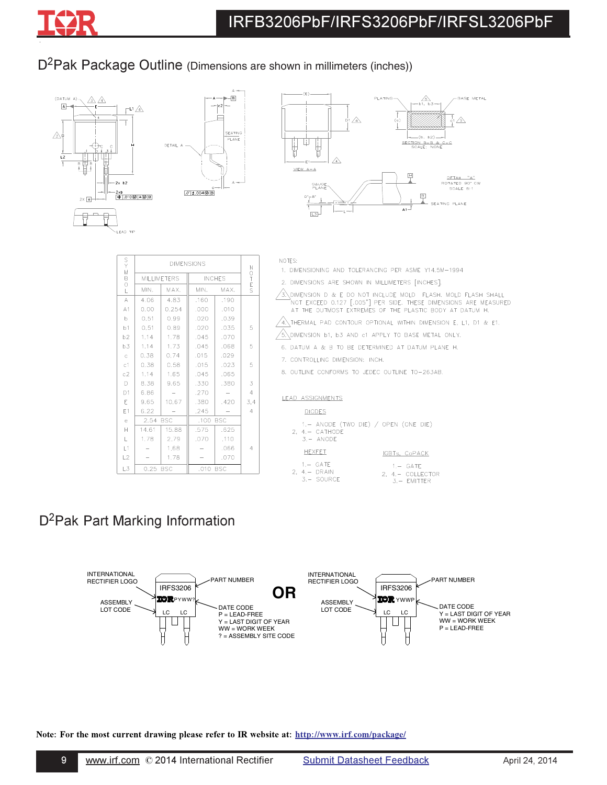## D<sup>2</sup>Pak Package Outline (Dimensions are shown in millimeters (inches))



| FOBS YS        |       |                    | <b>DIMENSIONS</b> |               |                |
|----------------|-------|--------------------|-------------------|---------------|----------------|
|                |       | <b>MILLIMETERS</b> |                   | <b>INCHES</b> | NOTES          |
|                | MIN.  | MAX.               | MIN.              | MAX.          |                |
| А              | 4.06  | 4.83               | .160              | .190          |                |
| A1             | 0.00  | 0.254              | .000              | .010          |                |
| $\mathbf b$    | 0,51  | 0.99               | .020              | .039          |                |
| b1             | 0,51  | 0.89               | .020              | .035          | 5              |
| b2             | 1,14  | 1,78               | .045              | .070          |                |
| b3             | 1,14  | 1,73               | .045              | .068          | 5              |
| $\rm{c}$       | 0.38  | 0.74               | .015              | .029          |                |
| c1             | 0.38  | 0.58               | .015              | .023          | 5              |
| c2             | 1,14  | 1,65               | .045              | .065          |                |
| D              | 8.38  | 9.65               | .330              | .380          | 3              |
| D <sub>1</sub> | 6.86  |                    | .270              |               | $\overline{4}$ |
| E              | 9.65  | 10.67              | .380              | .420          | 3,4            |
| E1             | 6.22  |                    | .245              |               | 4              |
| $\in$          | 2.54  | <b>BSC</b>         | .100              | <b>BSC</b>    |                |
| Н              | 14.61 | 15.88              | .575              | .625          |                |
| L              | 1,78  | 2.79               | .070              | .110          |                |
| L1             |       | 1.68               |                   | .066          | 4              |
| L2             |       | 1,78               |                   | .070          |                |
| L3             | 0.25  | <b>BSC</b>         | .010 BSC          |               |                |

|--|

1. DIMENSIONING AND TOLERANCING PER ASME Y14.5M-1994

2. DIMENSIONS ARE SHOWN IN MILLIMETERS [INCHES].

- $\sqrt{3}$  dimension d & E do not include Mold Flash. Mold Flash shall not exceed 0.127 [.005"] PER SIDE. THESE dimensions are Measured at the outmost extremes of the plastic body at datum h.
- $\sqrt{4}$  Thermal pad contour optional within dimension E, L1, D1 & E1.
- $\sqrt{6}$  dimension b1, b3 and c1 apply to base metal only.
- 6. DATUM A & B TO BE DETERMINED AT DATUM PLANE H.
- 7. CONTROLLING DIMENSION: INCH.
- 8. OUTLINE CONFORMS TO JEDEC OUTLINE TO-263AB.

#### LEAD ASSIGNMENTS

#### **DIODES**

- 1.- ANODE (TWO DIE) / OPEN (ONE DIE)  $2, 4, - CATHODE$  $3. - ANODE$ HEXFET IGBTs, CoPACK  $1 - GATE$  $1. -$  GATE
- 2,  $4 DRAIN$ <br> $3 SOURCE$ 2,  $4 - \text{COLLECTOR}$ <br>3. - EMITTER

## D<sup>2</sup>Pak Part Marking Information

-.-



Note: For the most current drawing please refer to IR website at: http://www.irf.com/package/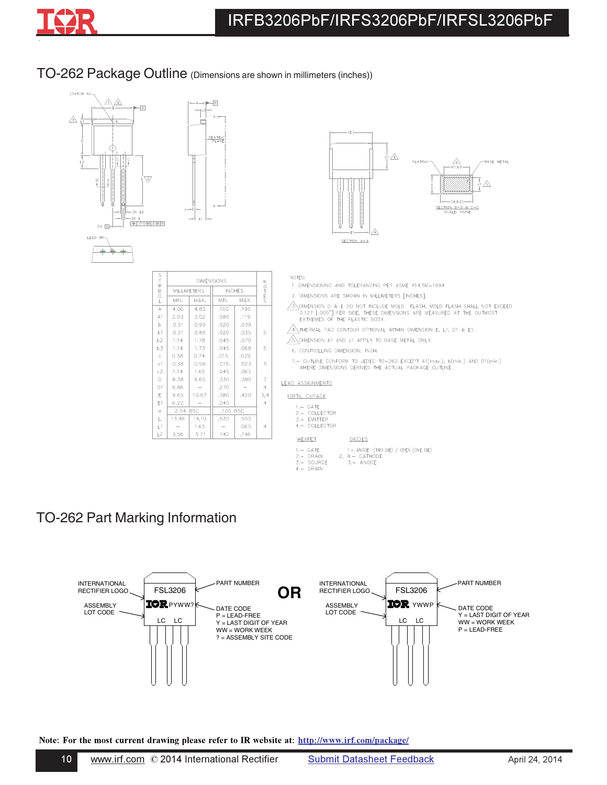

### TO-262 Package Outline (Dimensions are shown in millimeters (inches))



# TO-262 Part Marking Information



Note: For the most current drawing please refer to IR website at: <u>http://www.irf.com/package/</u>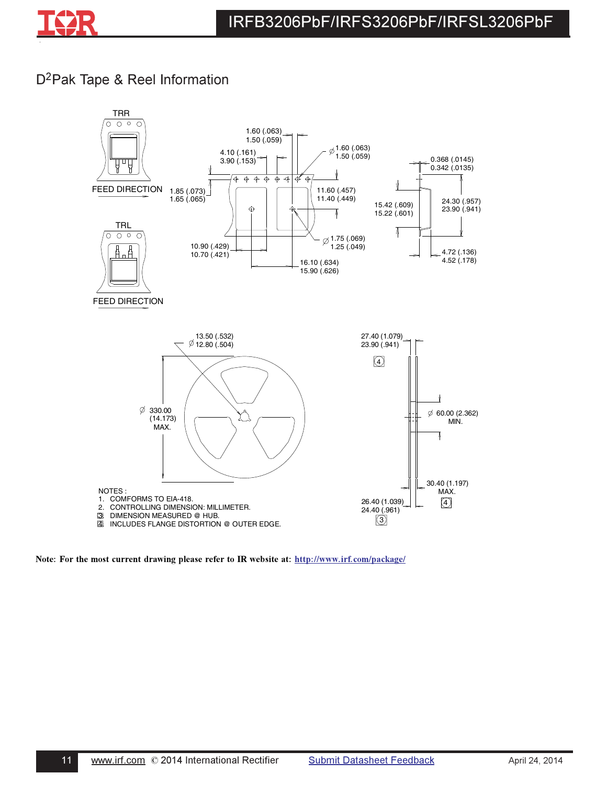

## D<sup>2</sup>Pak Tape & Reel Information



Note: For the most current drawing please refer to IR website at: http://www.irf.com/package/